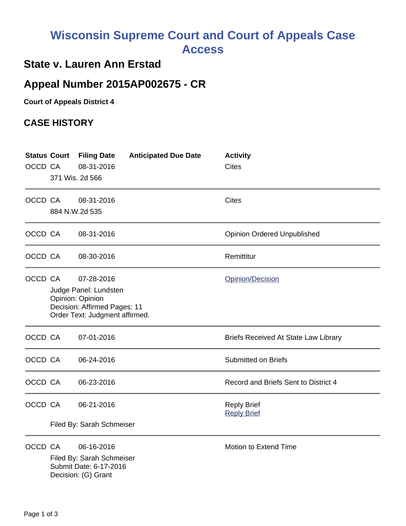## **Wisconsin Supreme Court and Court of Appeals Case Access**

## **State v. Lauren Ann Erstad**

## **Appeal Number 2015AP002675 - CR**

**Court of Appeals District 4**

## **CASE HISTORY**

| OCCD CA | <b>Status Court</b><br>371 Wis. 2d 566                                                                                                        | <b>Filing Date</b><br>08-31-2016                                                         | <b>Anticipated Due Date</b> | <b>Activity</b><br><b>Cites</b>             |
|---------|-----------------------------------------------------------------------------------------------------------------------------------------------|------------------------------------------------------------------------------------------|-----------------------------|---------------------------------------------|
| OCCD CA | 884 N.W.2d 535                                                                                                                                | 08-31-2016                                                                               |                             | <b>Cites</b>                                |
| OCCD CA |                                                                                                                                               | 08-31-2016                                                                               |                             | <b>Opinion Ordered Unpublished</b>          |
| OCCD CA |                                                                                                                                               | 08-30-2016                                                                               |                             | Remittitur                                  |
| OCCD CA | 07-28-2016<br>Opinion/Decision<br>Judge Panel: Lundsten<br>Opinion: Opinion<br>Decision: Affirmed Pages: 11<br>Order Text: Judgment affirmed. |                                                                                          |                             |                                             |
| OCCD CA |                                                                                                                                               | 07-01-2016                                                                               |                             | <b>Briefs Received At State Law Library</b> |
| OCCD CA |                                                                                                                                               | 06-24-2016                                                                               |                             | <b>Submitted on Briefs</b>                  |
| OCCD CA |                                                                                                                                               | 06-23-2016                                                                               |                             | Record and Briefs Sent to District 4        |
| OCCD CA |                                                                                                                                               | 06-21-2016                                                                               |                             | <b>Reply Brief</b><br><b>Reply Brief</b>    |
|         | Filed By: Sarah Schmeiser                                                                                                                     |                                                                                          |                             |                                             |
| OCCD CA |                                                                                                                                               | 06-16-2016<br>Filed By: Sarah Schmeiser<br>Submit Date: 6-17-2016<br>Decision: (G) Grant |                             | Motion to Extend Time                       |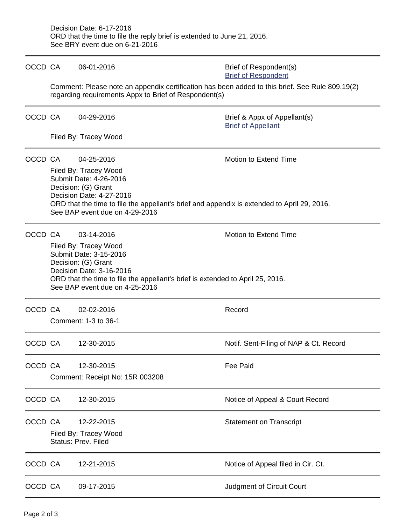| OCCD CA |                                                                                                                                                                                                                                                                            | 06-01-2016                                                                                                                                               | Brief of Respondent(s)<br><b>Brief of Respondent</b>      |  |  |  |
|---------|----------------------------------------------------------------------------------------------------------------------------------------------------------------------------------------------------------------------------------------------------------------------------|----------------------------------------------------------------------------------------------------------------------------------------------------------|-----------------------------------------------------------|--|--|--|
|         |                                                                                                                                                                                                                                                                            | Comment: Please note an appendix certification has been added to this brief. See Rule 809.19(2)<br>regarding requirements Appx to Brief of Respondent(s) |                                                           |  |  |  |
| OCCD CA |                                                                                                                                                                                                                                                                            | 04-29-2016                                                                                                                                               | Brief & Appx of Appellant(s)<br><b>Brief of Appellant</b> |  |  |  |
|         |                                                                                                                                                                                                                                                                            | Filed By: Tracey Wood                                                                                                                                    |                                                           |  |  |  |
| OCCD CA | Motion to Extend Time<br>04-25-2016<br>Filed By: Tracey Wood<br>Submit Date: 4-26-2016<br>Decision: (G) Grant<br>Decision Date: 4-27-2016<br>ORD that the time to file the appellant's brief and appendix is extended to April 29, 2016.<br>See BAP event due on 4-29-2016 |                                                                                                                                                          |                                                           |  |  |  |
| OCCD CA | Motion to Extend Time<br>03-14-2016<br>Filed By: Tracey Wood<br>Submit Date: 3-15-2016<br>Decision: (G) Grant<br>Decision Date: 3-16-2016<br>ORD that the time to file the appellant's brief is extended to April 25, 2016.<br>See BAP event due on 4-25-2016              |                                                                                                                                                          |                                                           |  |  |  |
| OCCD CA |                                                                                                                                                                                                                                                                            | 02-02-2016<br>Comment: 1-3 to 36-1                                                                                                                       | Record                                                    |  |  |  |
| OCCD CA |                                                                                                                                                                                                                                                                            | 12-30-2015                                                                                                                                               | Notif. Sent-Filing of NAP & Ct. Record                    |  |  |  |
| OCCD CA |                                                                                                                                                                                                                                                                            | 12-30-2015<br>Comment: Receipt No: 15R 003208                                                                                                            | <b>Fee Paid</b>                                           |  |  |  |
| OCCD CA |                                                                                                                                                                                                                                                                            | 12-30-2015                                                                                                                                               | Notice of Appeal & Court Record                           |  |  |  |
| OCCD CA |                                                                                                                                                                                                                                                                            | 12-22-2015<br>Filed By: Tracey Wood<br>Status: Prev. Filed                                                                                               | <b>Statement on Transcript</b>                            |  |  |  |
| OCCD CA |                                                                                                                                                                                                                                                                            | 12-21-2015                                                                                                                                               | Notice of Appeal filed in Cir. Ct.                        |  |  |  |
| OCCD CA |                                                                                                                                                                                                                                                                            | 09-17-2015                                                                                                                                               | Judgment of Circuit Court                                 |  |  |  |